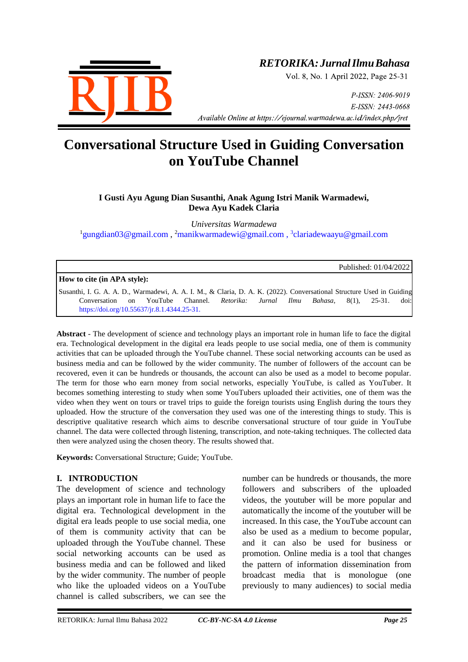

# *RETORIKA:JurnalIlmuBahasa*

Vol. 8, No. 1 April 2022, Page 25-31

P-ISSN: 2406-9019 E-ISSN: 2443-0668 *Available Online at https://ejournal.warmadewa.ac.id/index.php/jret* 

# **Conversational Structure Used in Guiding Conversation on YouTube Channel**

# **I Gusti Ayu Agung Dian Susanthi, Anak Agung Istri Manik Warmadewi, Dewa Ayu Kadek Claria**

*Universitas Warmadewa* <sup>1</sup>[gungdian03@gmail.com](mailto:gungdian03@gmail.com), <sup>2</sup>[manikwarmadewi@gmail.com](mailto:manikwarmadewi@gmail.com), <sup>3</sup>[clariadewaayu@gmail.com](mailto:clariadewaayu@gmail.com)

Published: 01/04/2022

## **How to cite (in APA style):**

Susanthi, I. G. A. A. D., Warmadewi, A. A. I. M., & Claria, D. A. K. (2022). Conversational Structure Used in Guiding Conversation on YouTube Channel. *Retorika: Jurnal Ilmu Bahasa*, 8(1), 25-31. doi: <https://doi.org/10.55637/jr.8.1.4344.25-31.>

**Abstract** - The development of science and technology plays an important role in human life to face the digital era. Technological development in the digital era leads people to use social media, one of them is community activities that can be uploaded through the YouTube channel. These social networking accounts can be used as business media and can be followed by the wider community. The number of followers of the account can be recovered, even it can be hundreds or thousands, the account can also be used as a model to become popular. The term for those who earn money from social networks, especially YouTube, is called as YouTuber. It becomes something interesting to study when some YouTubers uploaded their activities, one of them was the video when they went on tours or travel trips to guide the foreign tourists using English during the tours they uploaded. How the structure of the conversation they used was one of the interesting things to study. This is descriptive qualitative research which aims to describe conversational structure of tour guide in YouTube channel. The data were collected through listening, transcription, and note-taking techniques. The collected data then were analyzed using the chosen theory. The results showed that.

**Keywords:** Conversational Structure; Guide; YouTube.

#### **I. INTRODUCTION**

The development of science and technology plays an important role in human life to face the digital era. Technological development in the digital era leads people to use social media, one of them is community activity that can be uploaded through the YouTube channel. These social networking accounts can be used as business media and can be followed and liked by the wider community. The number of people who like the uploaded videos on a YouTube channel is called subscribers, we can see the number can be hundreds or thousands, the more followers and subscribers of the uploaded videos, the youtuber will be more popular and automatically the income of the youtuber will be increased. In this case, the YouTube account can also be used as a medium to become popular, and it can also be used for business or promotion. Online media is a tool that changes the pattern of information dissemination from broadcast media that is monologue (one previously to many audiences) to social media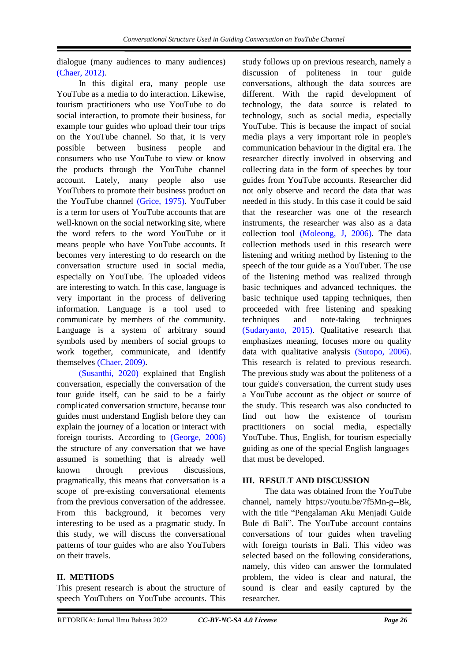dialogue (many audiences to many audiences) [\(Chaer, 2012\).](#page-6-0)

In this digital era, many people use YouTube as a media to do interaction. Likewise, tourism practitioners who use YouTube to do social interaction, to promote their business, for example tour guides who upload their tour trips on the YouTube channel. So that, it is very possible between business people and consumers who use YouTube to view or know the products through the YouTube channel account. Lately, many people also use YouTubers to promote their business product on the YouTube channel [\(Grice, 1975\).](#page-6-0) YouTuber is a term for users of YouTube accounts that are well-known on the social networking site, where the word refers to the word YouTube or it means people who have YouTube accounts. It becomes very interesting to do research on the conversation structure used in social media, especially on YouTube. The uploaded videos are interesting to watch. In this case, language is very important in the process of delivering information. Language is a tool used to communicate by members of the community. Language is a system of arbitrary sound symbols used by members of social groups to work together, communicate, and identify themselves [\(Chaer, 2009\).](#page-6-0)

[\(Susanthi, 2020\)](#page-6-0) explained that English conversation, especially the conversation of the tour guide itself, can be said to be a fairly complicated conversation structure, because tour guides must understand English before they can explain the journey of a location or interact with foreign tourists. According to [\(George, 2006\)](#page-6-0) the structure of any conversation that we have assumed is something that is already well known through previous discussions, pragmatically, this means that conversation is a scope of pre-existing conversational elements from the previous conversation of the addressee. From this background, it becomes very interesting to be used as a pragmatic study. In this study, we will discuss the conversational patterns of tour guides who are also YouTubers on their travels.

## **II. METHODS**

This present research is about the structure of speech YouTubers on YouTube accounts. This study follows up on previous research, namely a discussion of politeness in tour guide conversations, although the data sources are different. With the rapid development of technology, the data source is related to technology, such as social media, especially YouTube. This is because the impact of social media plays a very important role in people's communication behaviour in the digital era. The researcher directly involved in observing and collecting data in the form of speeches by tour guides from YouTube accounts. Researcher did not only observe and record the data that was needed in this study. In this case it could be said that the researcher was one of the research instruments, the researcher was also as a data collection tool [\(Moleong, J, 2006\).](#page-6-0) The data collection methods used in this research were listening and writing method by listening to the speech of the tour guide as a YouTuber. The use of the listening method was realized through basic techniques and advanced techniques. the basic technique used tapping techniques, then proceeded with free listening and speaking techniques and note-taking techniques [\(Sudaryanto, 2015\).](#page-6-0) Qualitative research that emphasizes meaning, focuses more on quality data with qualitative analysis [\(Sutopo, 2006\).](#page-6-0) This research is related to previous research. The previous study was about the politeness of a tour guide's conversation, the current study uses a YouTube account as the object or source of the study. This research was also conducted to find out how the existence of tourism practitioners on social media, especially YouTube. Thus, English, for tourism especially guiding as one of the special English languages that must be developed.

## **III. RESULT AND DISCUSSION**

The data was obtained from the YouTube channel, namely https://youtu.be/7f5Mn-g--Bk, with the title "Pengalaman Aku Menjadi Guide Bule di Bali". The YouTube account contains conversations of tour guides when traveling with foreign tourists in Bali. This video was selected based on the following considerations, namely, this video can answer the formulated problem, the video is clear and natural, the sound is clear and easily captured by the researcher.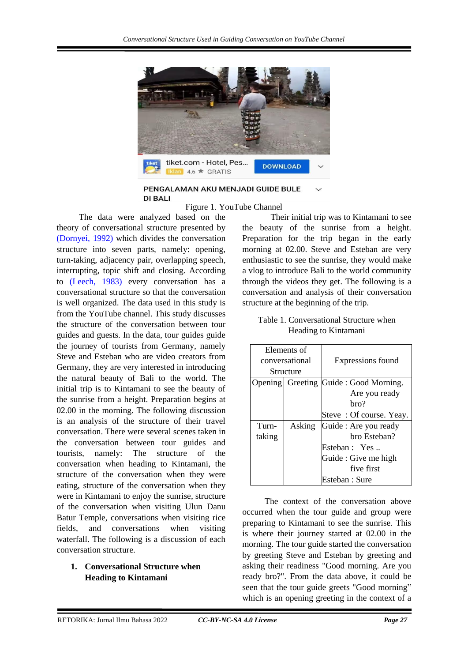

PENGALAMAN AKU MENJADI GUIDE BULE **DI BALI** 

Figure 1. YouTube Channel

The data were analyzed based on the theory of conversational structure presented by [\(Dornyei, 1992\)](#page-6-0) which divides the conversation structure into seven parts, namely: opening, turn-taking, adjacency pair, overlapping speech, interrupting, topic shift and closing. According to [\(Leech, 1983\)](#page-6-0) every conversation has a conversational structure so that the conversation is well organized. The data used in this study is from the YouTube channel. This study discusses the structure of the conversation between tour guides and guests. In the data, tour guides guide the journey of tourists from Germany, namely Steve and Esteban who are video creators from Germany, they are very interested in introducing the natural beauty of Bali to the world. The initial trip is to Kintamani to see the beauty of the sunrise from a height. Preparation begins at 02.00 in the morning. The following discussion is an analysis of the structure of their travel conversation. There were several scenes taken in the conversation between tour guides and tourists, namely: The structure of the conversation when heading to Kintamani, the structure of the conversation when they were eating, structure of the conversation when they were in Kintamani to enjoy the sunrise, structure of the conversation when visiting Ulun Danu Batur Temple, conversations when visiting rice fields, and conversations when visiting waterfall. The following is a discussion of each conversation structure.

## **1. Conversational Structure when Heading to Kintamani**

 Their initial trip was to Kintamani to see the beauty of the sunrise from a height. Preparation for the trip began in the early morning at 02.00. Steve and Esteban are very enthusiastic to see the sunrise, they would make a vlog to introduce Bali to the world community through the videos they get. The following is a conversation and analysis of their conversation structure at the beginning of the trip.

| Table 1. Conversational Structure when |  |
|----------------------------------------|--|
| Heading to Kintamani                   |  |

|                | Elements of      |                         |
|----------------|------------------|-------------------------|
| conversational |                  | Expressions found       |
|                | Structure        |                         |
|                | Opening Greeting | Guide: Good Morning.    |
|                |                  | Are you ready           |
|                |                  | hro?                    |
|                |                  | Steve: Of course. Yeay. |
| Turn-          | Asking           | Guide : Are you ready   |
| taking         |                  | bro Esteban?            |
|                |                  | Esteban : Yes           |
|                |                  | Guide : Give me high    |
|                |                  | five first              |
|                |                  | Esteban : Sure          |

The context of the conversation above occurred when the tour guide and group were preparing to Kintamani to see the sunrise. This is where their journey started at 02.00 in the morning. The tour guide started the conversation by greeting Steve and Esteban by greeting and asking their readiness "Good morning. Are you ready bro?". From the data above, it could be seen that the tour guide greets "Good morning" which is an opening greeting in the context of a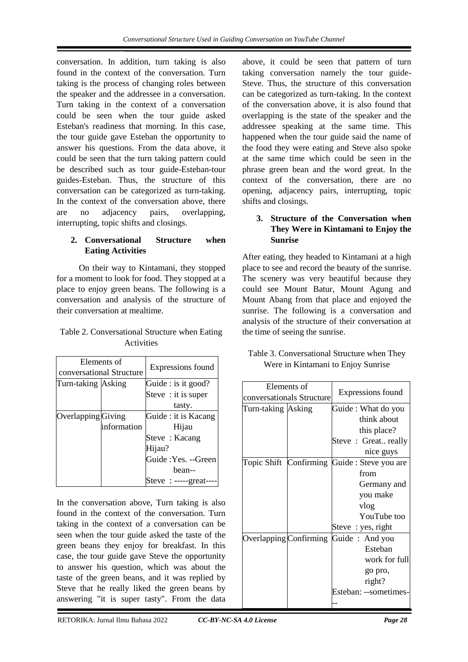conversation. In addition, turn taking is also found in the context of the conversation. Turn taking is the process of changing roles between the speaker and the addressee in a conversation. Turn taking in the context of a conversation could be seen when the tour guide asked Esteban's readiness that morning. In this case, the tour guide gave Esteban the opportunity to answer his questions. From the data above, it could be seen that the turn taking pattern could be described such as tour guide-Esteban-tour guides-Esteban. Thus, the structure of this conversation can be categorized as turn-taking. In the context of the conversation above, there are no adjacency pairs, overlapping, interrupting, topic shifts and closings.

# **2. Conversational Structure when Eating Activities**

On their way to Kintamani, they stopped for a moment to look for food. They stopped at a place to enjoy green beans. The following is a conversation and analysis of the structure of their conversation at mealtime.

| Table 2. Conversational Structure when Eating |  |
|-----------------------------------------------|--|
| <b>Activities</b>                             |  |

| conversational Structure | Elements of | Expressions found    |
|--------------------------|-------------|----------------------|
| Turn-taking Asking       |             | Guide : is it good?  |
|                          |             | Steve : it is super  |
|                          |             | tasty.               |
| Overlapping Giving       |             | Guide : it is Kacang |
|                          | information | Hijau                |
|                          |             | Steve: Kacang        |
|                          |             | Hijau?               |
|                          |             | Guide : Yes. --Green |
|                          |             | bean--               |
|                          |             | Steve : $---gr$      |

In the conversation above, Turn taking is also found in the context of the conversation. Turn taking in the context of a conversation can be seen when the tour guide asked the taste of the green beans they enjoy for breakfast. In this case, the tour guide gave Steve the opportunity to answer his question, which was about the taste of the green beans, and it was replied by Steve that he really liked the green beans by answering "it is super tasty". From the data above, it could be seen that pattern of turn taking conversation namely the tour guide-Steve. Thus, the structure of this conversation can be categorized as turn-taking. In the context of the conversation above, it is also found that overlapping is the state of the speaker and the addressee speaking at the same time. This happened when the tour guide said the name of the food they were eating and Steve also spoke at the same time which could be seen in the phrase green bean and the word great. In the context of the conversation, there are no opening, adjacency pairs, interrupting, topic shifts and closings.

# **3. Structure of the Conversation when They Were in Kintamani to Enjoy the Sunrise**

After eating, they headed to Kintamani at a high place to see and record the beauty of the sunrise. The scenery was very beautiful because they could see Mount Batur, Mount Agung and Mount Abang from that place and enjoyed the sunrise. The following is a conversation and analysis of the structure of their conversation at the time of seeing the sunrise.

|             |                   | Table 3. Conversational Structure when They |
|-------------|-------------------|---------------------------------------------|
| Elements of | Expressions found | Were in Kintamani to Enjoy Sunrise          |

|                    | Elements of<br>conversationals Structure | Expressions found                            |
|--------------------|------------------------------------------|----------------------------------------------|
| Turn-taking Asking |                                          | Guide: What do you                           |
|                    |                                          | think about                                  |
|                    |                                          | this place?                                  |
|                    |                                          | Steve: Great really                          |
|                    |                                          | nice guys                                    |
|                    |                                          | Topic Shift Confirming Guide : Steve you are |
|                    |                                          | from                                         |
|                    |                                          | Germany and                                  |
|                    |                                          | you make                                     |
|                    |                                          | vlog                                         |
|                    |                                          | YouTube too                                  |
|                    |                                          | Steve : yes, right                           |
|                    |                                          | Overlapping Confirming Guide: And you        |
|                    |                                          | Esteban                                      |
|                    |                                          | work for full                                |
|                    |                                          | go pro,                                      |
|                    |                                          | right?                                       |
|                    |                                          | Esteban: --sometimes-                        |
|                    |                                          |                                              |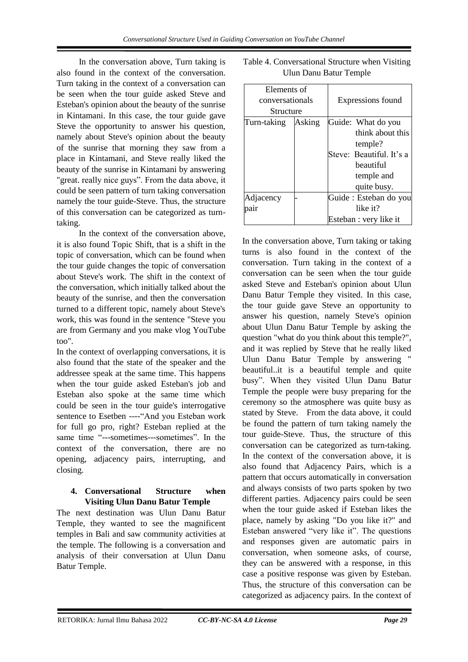In the conversation above, Turn taking is also found in the context of the conversation. Turn taking in the context of a conversation can be seen when the tour guide asked Steve and Esteban's opinion about the beauty of the sunrise in Kintamani. In this case, the tour guide gave Steve the opportunity to answer his question, namely about Steve's opinion about the beauty of the sunrise that morning they saw from a place in Kintamani, and Steve really liked the beauty of the sunrise in Kintamani by answering "great. really nice guys". From the data above, it could be seen pattern of turn taking conversation namely the tour guide-Steve. Thus, the structure of this conversation can be categorized as turntaking.

In the context of the conversation above, it is also found Topic Shift, that is a shift in the topic of conversation, which can be found when the tour guide changes the topic of conversation about Steve's work. The shift in the context of the conversation, which initially talked about the beauty of the sunrise, and then the conversation turned to a different topic, namely about Steve's work, this was found in the sentence "Steve you are from Germany and you make vlog YouTube too".

In the context of overlapping conversations, it is also found that the state of the speaker and the addressee speak at the same time. This happens when the tour guide asked Esteban's job and Esteban also spoke at the same time which could be seen in the tour guide's interrogative sentence to Esetben ----"And you Esteban work for full go pro, right? Esteban replied at the same time "---sometimes---sometimes". In the context of the conversation, there are no opening, adjacency pairs, interrupting, and closing.

# **4. Conversational Structure when Visiting Ulun Danu Batur Temple**

The next destination was Ulun Danu Batur Temple, they wanted to see the magnificent temples in Bali and saw community activities at the temple. The following is a conversation and analysis of their conversation at Ulun Danu Batur Temple.

| Elements of     |        |                          |
|-----------------|--------|--------------------------|
| conversationals |        | Expressions found        |
| Structure       |        |                          |
| Turn-taking     | Asking | Guide: What do you       |
|                 |        | think about this         |
|                 |        | temple?                  |
|                 |        | Steve: Beautiful. It's a |
|                 |        | heautiful                |
|                 |        | temple and               |
|                 |        | quite busy.              |
| Adjacency       |        | Guide : Esteban do you   |
| pair            |        | like it?                 |
|                 |        | Esteban : very like it   |

| Table 4. Conversational Structure when Visiting |
|-------------------------------------------------|
| Ulun Danu Batur Temple                          |

In the conversation above, Turn taking or taking turns is also found in the context of the conversation. Turn taking in the context of a conversation can be seen when the tour guide asked Steve and Esteban's opinion about Ulun Danu Batur Temple they visited. In this case, the tour guide gave Steve an opportunity to answer his question, namely Steve's opinion about Ulun Danu Batur Temple by asking the question "what do you think about this temple?", and it was replied by Steve that he really liked Ulun Danu Batur Temple by answering " beautiful..it is a beautiful temple and quite busy". When they visited Ulun Danu Batur Temple the people were busy preparing for the ceremony so the atmosphere was quite busy as stated by Steve. From the data above, it could be found the pattern of turn taking namely the tour guide-Steve. Thus, the structure of this conversation can be categorized as turn-taking. In the context of the conversation above, it is also found that Adjacency Pairs, which is a pattern that occurs automatically in conversation and always consists of two parts spoken by two different parties. Adjacency pairs could be seen when the tour guide asked if Esteban likes the place, namely by asking "Do you like it?" and Esteban answered "very like it". The questions and responses given are automatic pairs in conversation, when someone asks, of course, they can be answered with a response, in this case a positive response was given by Esteban. Thus, the structure of this conversation can be categorized as adjacency pairs. In the context of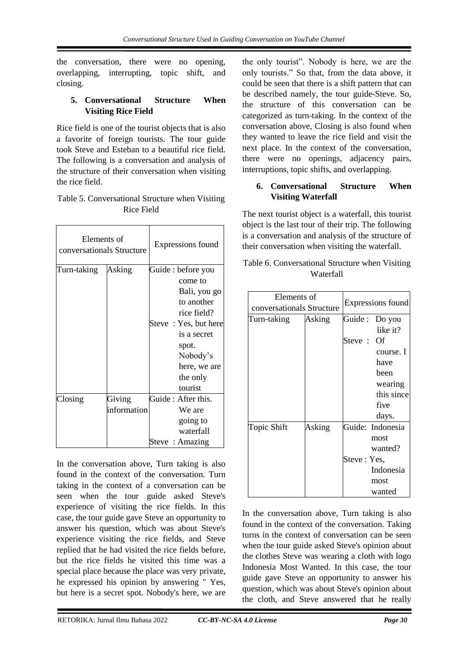the conversation, there were no opening, overlapping, interrupting, topic shift, and closing.

# **5. Conversational Structure When Visiting Rice Field**

Rice field is one of the tourist objects that is also a favorite of foreign tourists. The tour guide took Steve and Esteban to a beautiful rice field. The following is a conversation and analysis of the structure of their conversation when visiting the rice field.

| Table 5. Conversational Structure when Visiting |
|-------------------------------------------------|
| Rice Field                                      |

| Elements of<br>conversationals Structure |             | Expressions found    |  |
|------------------------------------------|-------------|----------------------|--|
| Turn-taking                              | Asking      | Guide : before you   |  |
|                                          |             | come to              |  |
|                                          |             | Bali, you go         |  |
|                                          |             | to another           |  |
|                                          |             | rice field?          |  |
|                                          |             | Steve: Yes, but here |  |
|                                          |             | is a secret          |  |
|                                          |             | spot.                |  |
|                                          |             | Nobody's             |  |
|                                          |             | here, we are         |  |
|                                          |             | the only             |  |
|                                          |             | tourist              |  |
| Closing                                  | Giving      | Guide: After this.   |  |
|                                          | information | We are               |  |
|                                          |             | going to             |  |
|                                          |             | waterfall            |  |
|                                          |             | Steve: Amazing       |  |

In the conversation above, Turn taking is also found in the context of the conversation. Turn taking in the context of a conversation can be seen when the tour guide asked Steve's experience of visiting the rice fields. In this case, the tour guide gave Steve an opportunity to answer his question, which was about Steve's experience visiting the rice fields, and Steve replied that he had visited the rice fields before, but the rice fields he visited this time was a special place because the place was very private, he expressed his opinion by answering " Yes, but here is a secret spot. Nobody's here, we are

the only tourist". Nobody is here, we are the only tourists." So that, from the data above, it could be seen that there is a shift pattern that can be described namely, the tour guide-Steve. So, the structure of this conversation can be categorized as turn-taking. In the context of the conversation above, Closing is also found when they wanted to leave the rice field and visit the next place. In the context of the conversation, there were no openings, adjacency pairs, interruptions, topic shifts, and overlapping.

# **6. Conversational Structure When Visiting Waterfall**

The next tourist object is a waterfall, this tourist object is the last tour of their trip. The following is a conversation and analysis of the structure of their conversation when visiting the waterfall.

| Table 6. Conversational Structure when Visiting |  |
|-------------------------------------------------|--|
| Waterfall                                       |  |

| Elements of<br>conversationals Structure |        |              | Expressions found |
|------------------------------------------|--------|--------------|-------------------|
|                                          |        |              |                   |
| Turn-taking                              | Asking |              | Guide : Do you    |
|                                          |        |              | like it?          |
|                                          |        | Steve : Of   |                   |
|                                          |        |              | course. I         |
|                                          |        |              | have              |
|                                          |        |              | been              |
|                                          |        |              | wearing           |
|                                          |        |              | this since        |
|                                          |        |              | five              |
|                                          |        |              | days.             |
| Topic Shift                              | Asking |              | Guide: Indonesia  |
|                                          |        |              | most              |
|                                          |        |              | wanted?           |
|                                          |        | Steve : Yes, |                   |
|                                          |        |              | Indonesia         |
|                                          |        |              | most              |
|                                          |        |              | wanted            |

In the conversation above, Turn taking is also found in the context of the conversation. Taking turns in the context of conversation can be seen when the tour guide asked Steve's opinion about the clothes Steve was wearing a cloth with logo Indonesia Most Wanted. In this case, the tour guide gave Steve an opportunity to answer his question, which was about Steve's opinion about the cloth, and Steve answered that he really